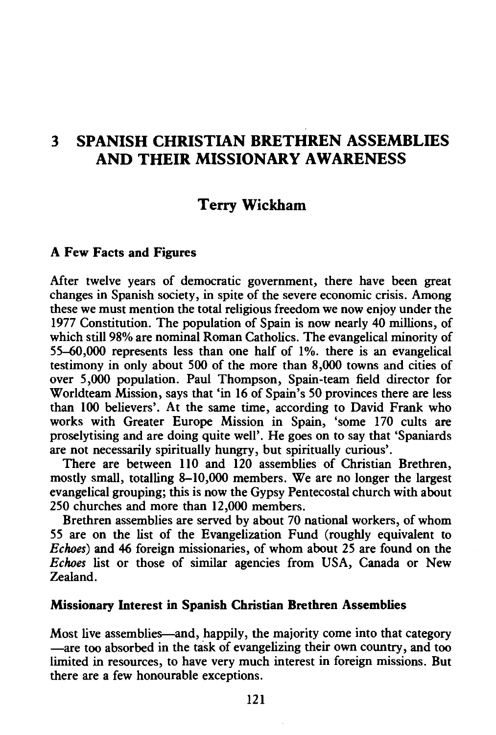# 3 SPANISH CHRISTIAN BRETHREN ASSEMBLIES AND THEIR MISSIONARY AWARENESS

## Terry Wickham

### A Few Facts and Figures

After twelve years of democratic government, there have been great changes in Spanish society, in spite of the severe economic crisis. Among these we must mention the total religious freedom we now enjoy under the 1977 Constitution. The population of Spain is now nearly 40 millions, of which still 98% are nominal Roman Catholics. The evangelical minority of 55--60,000 represents less than one half of 1%. there is an evangelical testimony in only about 500 of the more than 8,000 towns and cities of over 5,000 population. Paul Thompson, Spain-team field director for Worldteam Mission, says that 'in 16 of Spain's SO provinces there are less than 100 believers'. At the same time, according to David Frank who works with Greater Europe Mission in Spain, 'some 170 cults are proselytising and are doing quite well'. He goes on to say that 'Spaniards are not necessarily spiritually hungry, but spiritually curious'.

There are between 110 and 120 assemblies of Christian Brethren, mostly small, totalling 8-10,000 members. We are no longer the largest evangelical grouping; this is now the Gypsy Pentecostal church with about 250 churches and more than 12,000 members.

Brethren assemblies are served by about 70 national workers, of whom 55 are on the list of the Evangelization Fund (roughly equivalent to *Echoes)* and 46 foreign missionaries, of whom about 25 are found on the *Echoes* list or those of similar agencies from USA, Canada or New Zealand.

#### Missionary Interest in Spanish Christian Brethren Assemblies

Most live assemblies—and, happily, the majority come into that category -are too absorbed in the task of evangelizing their own country, and too limited in resources, to have very much interest in foreign missions. But there are a few honourable exceptions.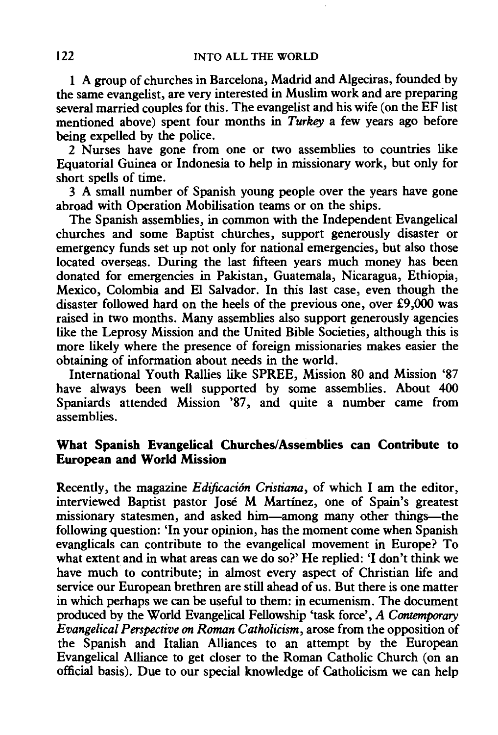1 A group of churches in Barcelona, Madrid and Algeciras, founded by the same evangelist, are very interested in Muslim work and are preparing several married couples for this. The evangelist and his wife (on the EF list mentioned above) spent four months in *Turkey* a few years ago before being expelled by the police.

2 Nurses have gone from one or two assemblies to countries like Equatorial Guinea or Indonesia to help in missionary work, but only for short spells of time.

3 A small number of Spanish young people over the years have gone abroad with Operation Mobilisation teams or on the ships.

The Spanish assemblies, in common with the Independent Evangelical churches and some Baptist churches, support generously disaster or emergency funds set up not only for national emergencies, but also those located overseas. During the last fifteen years much money has been donated for emergencies in Pakistan, Guatemala, Nicaragua, Ethiopia, Mexico, Colombia and El Salvador. In this last case, even though the disaster followed hard on the heels of the previous one, over £9,000 was raised in two months. Many assemblies also support generously agencies like the Leprosy Mission and the United Bible Societies, although this is more likely where the presence of foreign missionaries makes easier the obtaining of information about needs in the world.

International Youth Rallies like SPREE, Mission 80 and Mission '87 have always been well supported by some assemblies. About 400 Spaniards attended Mission '87, and quite a number came from assemblies.

### What Spanish Evangelical Churches/Assemblies can Contribute to European and World Mission

Recently, the magazine *Edificaci6n Cristiana,* of which I am the editor, interviewed Baptist pastor Jose M Martinez, one of Spain's greatest missionary statesmen, and asked him-among many other things-the following question: 'In your opinion, has the moment come when Spanish evanglicals can contribute to the evangelical movement in Europe? To what extent and in what areas can we do so?' He replied: 'I don't think we have much to contribute; in almost every aspect of Christian life and service our European brethren are still ahead of us. But there is one matter in which perhaps we can be useful to them: in ecumenism. The document produced by the World Evangelical Fellowship 'task force', *A Contemporary Evangelical Perspective on Roman Catholicism,* arose from the opposition of the Spanish and Italian Alliances to an attempt by the European Evangelical Alliance to get closer to the Roman Catholic Church (on an official basis). Due to our special knowledge of Catholicism we can help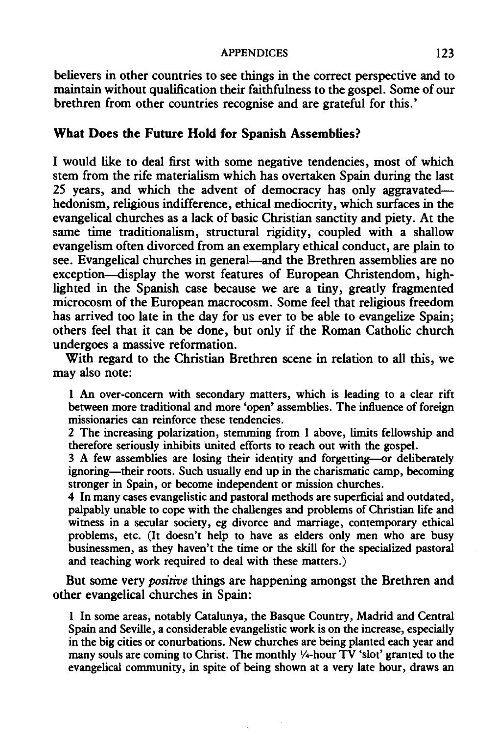#### APPENDICES 123

believers in other countries to see things in the correct perspective and to maintain without qualification their faithfulness to the gospel. Some of our brethren from other countries recognise and are grateful for this.'

#### What Does the Future Hold for Spanish Assemblies?

I would like to deal first with some negative tendencies, most of which stem from the rife materialism which has overtaken Spain during the last *25* years, and which the advent of democracy has only aggravatedhedonism, religious indifference, ethical mediocrity, which surfaces in the evangelical churches as a lack of basic Christian sanctity and piety. At the same time traditionalism, structural rigidity, coupled with a shallow evangelism often divorced from an exemplary ethical conduct, are plain to see. Evangelical churches in general—and the Brethren assemblies are no exception-display the worst features of European Christendom, highlighted in the Spanish case because we are a tiny, greatly fragmented microcosm of the European macrocosm. Some feel that religious freedom has arrived too late in the day for us ever to be able to evangelize Spain; others feel that it can be done, but only if the Roman Catholic church undergoes a massive reformation.

With regard to the Christian Brethren scene in relation to all this, we may also note:

I An over-concern with secondary matters, which is leading to a clear rift between more traditional and more 'open' assemblies. The influence of foreign missionaries can reinforce these tendencies.

2 The increasing polarization, stemming from I above, limits fellowship and therefore seriously inhibits united efforts to reach out with the gospel.

3 A few assemblies are losing their identity and forgetting-or deliberately ignoring—their roots. Such usually end up in the charismatic camp, becoming stronger in Spain, or become independent or mission churches.

4 In many cases evangelistic and pastoral methods are superficial and outdated, palpably unable to cope with the challenges and problems of Christian life and witness in a secular society, eg divorce and marriage, contemporary ethical problems, etc. (It doesn't help to have as elders only men who are busy businessmen, as they haven't the time or the skill for the specialized pastoral and teaching work required to deal with these matters.)

But some very *positive* things are happening amongst the Brethren and other evangelical churches in Spain:

1 In some areas, notably Catalunya, the Basque Country, Madrid and Central Spain and Seville, a considerable evangelistic work is on the increase, especially in the big cities or conurbations. New churches are being planted each year and many souls are coming to Christ. The monthly V4-hour TV 'slot' granted to the evangelical community, in spite of being shown at a very late hour, draws an